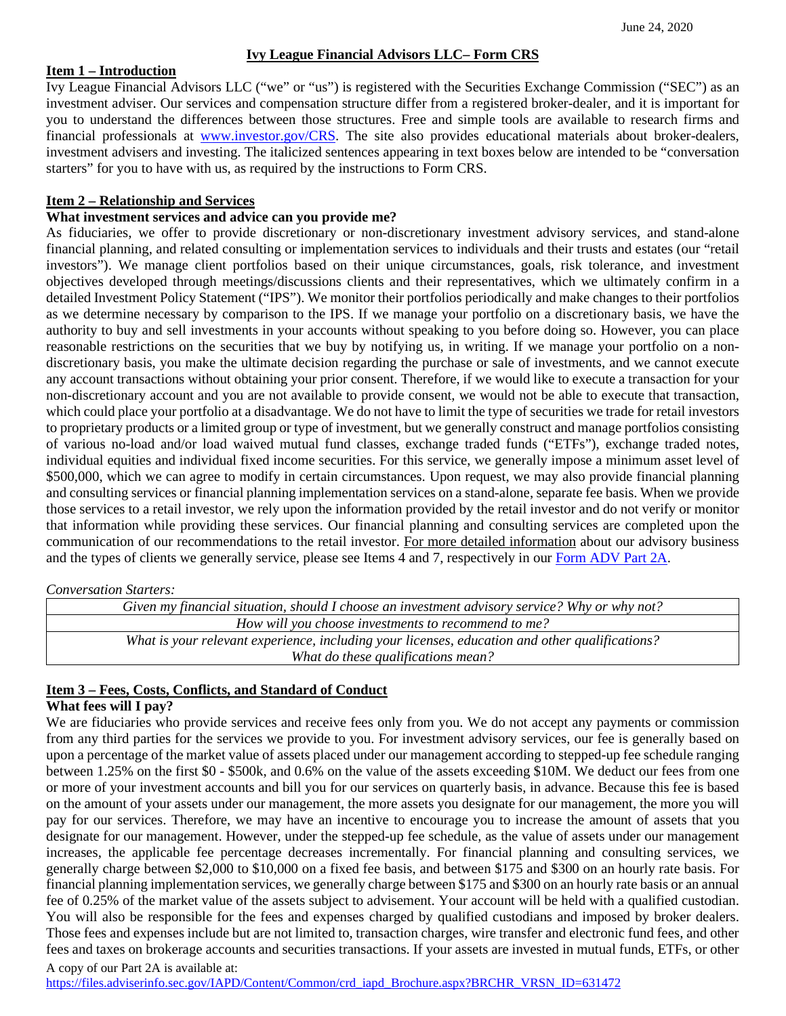### **Ivy League Financial Advisors LLC– Form CRS**

#### **Item 1 – Introduction**

Ivy League Financial Advisors LLC ("we" or "us") is registered with the Securities Exchange Commission ("SEC") as an investment adviser. Our services and compensation structure differ from a registered broker-dealer, and it is important for you to understand the differences between those structures. Free and simple tools are available to research firms and financial professionals at [www.investor.gov/CRS.](http://www.investor.gov/CRS) The site also provides educational materials about broker-dealers, investment advisers and investing. The italicized sentences appearing in text boxes below are intended to be "conversation starters" for you to have with us, as required by the instructions to Form CRS.

## **Item 2 – Relationship and Services**

# **What investment services and advice can you provide me?**

As fiduciaries, we offer to provide discretionary or non-discretionary investment advisory services, and stand-alone financial planning, and related consulting or implementation services to individuals and their trusts and estates (our "retail investors"). We manage client portfolios based on their unique circumstances, goals, risk tolerance, and investment objectives developed through meetings/discussions clients and their representatives, which we ultimately confirm in a detailed Investment Policy Statement ("IPS"). We monitor their portfolios periodically and make changes to their portfolios as we determine necessary by comparison to the IPS. If we manage your portfolio on a discretionary basis, we have the authority to buy and sell investments in your accounts without speaking to you before doing so. However, you can place reasonable restrictions on the securities that we buy by notifying us, in writing. If we manage your portfolio on a nondiscretionary basis, you make the ultimate decision regarding the purchase or sale of investments, and we cannot execute any account transactions without obtaining your prior consent. Therefore, if we would like to execute a transaction for your non-discretionary account and you are not available to provide consent, we would not be able to execute that transaction, which could place your portfolio at a disadvantage. We do not have to limit the type of securities we trade for retail investors to proprietary products or a limited group or type of investment, but we generally construct and manage portfolios consisting of various no-load and/or load waived mutual fund classes, exchange traded funds ("ETFs"), exchange traded notes, individual equities and individual fixed income securities. For this service, we generally impose a minimum asset level of \$500,000, which we can agree to modify in certain circumstances. Upon request, we may also provide financial planning and consulting services or financial planning implementation services on a stand-alone, separate fee basis. When we provide those services to a retail investor, we rely upon the information provided by the retail investor and do not verify or monitor that information while providing these services. Our financial planning and consulting services are completed upon the communication of our recommendations to the retail investor. For more detailed information about our advisory business and the types of clients we generally service, please see Items 4 and 7, respectively in our [Form ADV Part 2A.](https://files.adviserinfo.sec.gov/IAPD/Content/Common/crd_iapd_Brochure.aspx?BRCHR_VRSN_ID=631472)

#### *Conversation Starters:*

| Given my financial situation, should I choose an investment advisory service? Why or why not?  |
|------------------------------------------------------------------------------------------------|
| How will you choose investments to recommend to me?                                            |
| What is your relevant experience, including your licenses, education and other qualifications? |
| What do these qualifications mean?                                                             |

#### **Item 3 – Fees, Costs, Conflicts, and Standard of Conduct**

# **What fees will I pay?**

We are fiduciaries who provide services and receive fees only from you. We do not accept any payments or commission from any third parties for the services we provide to you. For investment advisory services, our fee is generally based on upon a percentage of the market value of assets placed under our management according to stepped-up fee schedule ranging between 1.25% on the first \$0 - \$500k, and 0.6% on the value of the assets exceeding \$10M. We deduct our fees from one or more of your investment accounts and bill you for our services on quarterly basis, in advance. Because this fee is based on the amount of your assets under our management, the more assets you designate for our management, the more you will pay for our services. Therefore, we may have an incentive to encourage you to increase the amount of assets that you designate for our management. However, under the stepped-up fee schedule, as the value of assets under our management increases, the applicable fee percentage decreases incrementally. For financial planning and consulting services, we generally charge between \$2,000 to \$10,000 on a fixed fee basis, and between \$175 and \$300 on an hourly rate basis. For financial planning implementation services, we generally charge between \$175 and \$300 on an hourly rate basis or an annual fee of 0.25% of the market value of the assets subject to advisement. Your account will be held with a qualified custodian. You will also be responsible for the fees and expenses charged by qualified custodians and imposed by broker dealers. Those fees and expenses include but are not limited to, transaction charges, wire transfer and electronic fund fees, and other fees and taxes on brokerage accounts and securities transactions. If your assets are invested in mutual funds, ETFs, or other

#### A copy of our Part 2A is available at: [https://files.adviserinfo.sec.gov/IAPD/Content/Common/crd\\_iapd\\_Brochure.aspx?BRCHR\\_VRSN\\_ID=631472](https://files.adviserinfo.sec.gov/IAPD/Content/Common/crd_iapd_Brochure.aspx?BRCHR_VRSN_ID=631472)